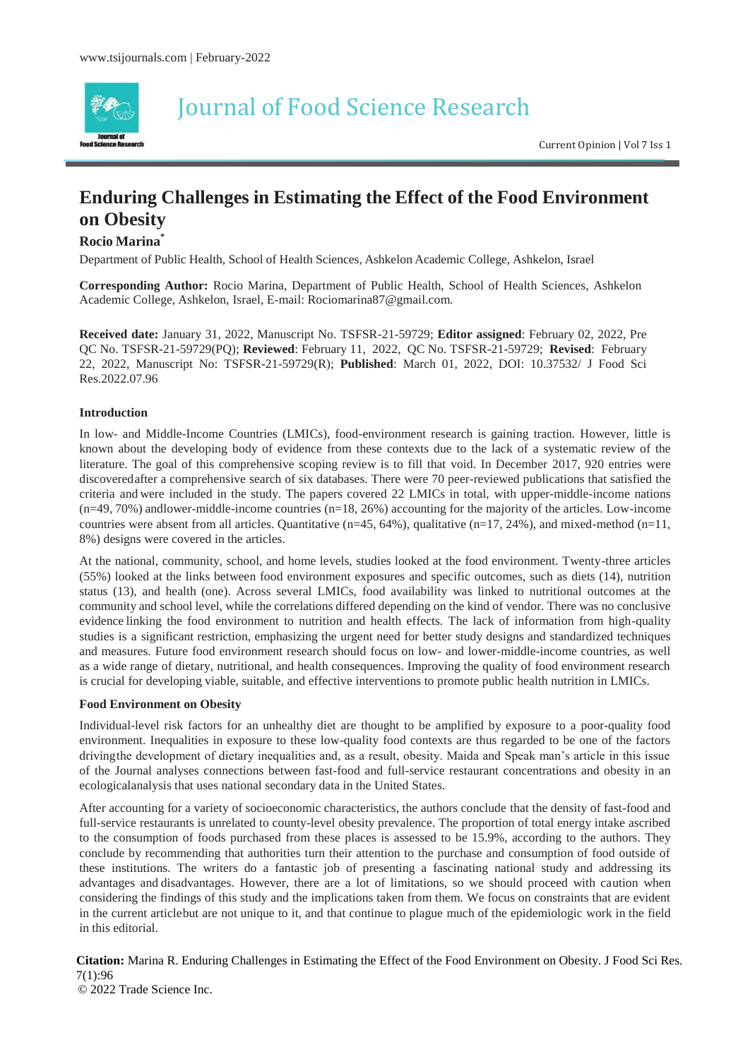

Journal of Food Science Research

Current Opinion | Vol 7 Iss 1

## **Enduring Challenges in Estimating the Effect of the Food Environment on Obesity**

## **Rocio Marina\***

Department of Public Health, School of Health Sciences, Ashkelon Academic College, Ashkelon, Israel

**Corresponding Author:** Rocio Marina, Department of Public Health, School of Health Sciences, Ashkelon Academic College, Ashkelon, Israel, E-mail: [Rociomarina87@gmail.com.](mailto:Rociomarina87@gmail.com)

**Received date:** January 31, 2022, Manuscript No. TSFSR-21-59729; **Editor assigned**: February 02, 2022, Pre QC No. TSFSR-21-59729(PQ); **Reviewed**: February 11, 2022, QC No. TSFSR-21-59729; **Revised**: February 22, 2022, Manuscript No: TSFSR-21-59729(R); **Published**: March 01, 2022, DOI: 10.37532/ J Food Sci Res.2022.07.96

## **Introduction**

In low- and Middle-Income Countries (LMICs), food-environment research is gaining traction. However, little is known about the developing body of evidence from these contexts due to the lack of a systematic review of the literature. The goal of this comprehensive scoping review is to fill that void. In December 2017, 920 entries were discoveredafter a comprehensive search of six databases. There were 70 peer-reviewed publications that satisfied the criteria and were included in the study. The papers covered 22 LMICs in total, with upper-middle-income nations (n=49, 70%) andlower-middle-income countries (n=18, 26%) accounting for the majority of the articles. Low-income countries were absent from all articles. Quantitative (n=45, 64%), qualitative (n=17, 24%), and mixed-method (n=11, 8%) designs were covered in the articles.

At the national, community, school, and home levels, studies looked at the food environment. Twenty-three articles (55%) looked at the links between food environment exposures and specific outcomes, such as diets (14), nutrition status (13), and health (one). Across several LMICs, food availability was linked to nutritional outcomes at the community and school level, while the correlations differed depending on the kind of vendor. There was no conclusive evidence linking the food environment to nutrition and health effects. The lack of information from high-quality studies is a significant restriction, emphasizing the urgent need for better study designs and standardized techniques and measures. Future food environment research should focus on low- and lower-middle-income countries, as well as a wide range of dietary, nutritional, and health consequences. Improving the quality of food environment research is crucial for developing viable, suitable, and effective interventions to promote public health nutrition in LMICs.

## **Food Environment on Obesity**

Individual-level risk factors for an unhealthy diet are thought to be amplified by exposure to a poor-quality food environment. Inequalities in exposure to these low-quality food contexts are thus regarded to be one of the factors drivingthe development of dietary inequalities and, as a result, obesity. Maida and Speak man's article in this issue of the Journal analyses connections between fast-food and full-service restaurant concentrations and obesity in an ecologicalanalysis that uses national secondary data in the United States.

After accounting for a variety of socioeconomic characteristics, the authors conclude that the density of fast-food and full-service restaurants is unrelated to county-level obesity prevalence. The proportion of total energy intake ascribed to the consumption of foods purchased from these places is assessed to be 15.9%, according to the authors. They conclude by recommending that authorities turn their attention to the purchase and consumption of food outside of these institutions. The writers do a fantastic job of presenting a fascinating national study and addressing its advantages and disadvantages. However, there are a lot of limitations, so we should proceed with caution when considering the findings of this study and the implications taken from them. We focus on constraints that are evident in the current articlebut are not unique to it, and that continue to plague much of the epidemiologic work in the field in this editorial.

 **Citation:** Marina R. Enduring Challenges in Estimating the Effect of the Food Environment on Obesity. J Food Sci Res. 7(1):96

© 2022 Trade Science Inc.